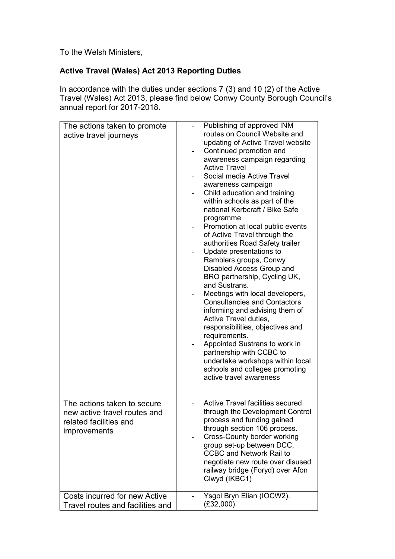To the Welsh Ministers,

## **Active Travel (Wales) Act 2013 Reporting Duties**

In accordance with the duties under sections 7 (3) and 10 (2) of the Active Travel (Wales) Act 2013, please find below Conwy County Borough Council's annual report for 2017-2018.

| The actions taken to promote<br>active travel journeys                                                | Publishing of approved INM<br>routes on Council Website and<br>updating of Active Travel website<br>Continued promotion and<br>awareness campaign regarding<br><b>Active Travel</b><br>Social media Active Travel<br>awareness campaign<br>Child education and training<br>within schools as part of the<br>national Kerbcraft / Bike Safe<br>programme<br>Promotion at local public events<br>of Active Travel through the<br>authorities Road Safety trailer<br>Update presentations to<br>Ramblers groups, Conwy<br>Disabled Access Group and<br>BRO partnership, Cycling UK,<br>and Sustrans.<br>Meetings with local developers,<br><b>Consultancies and Contactors</b><br>informing and advising them of<br>Active Travel duties,<br>responsibilities, objectives and<br>requirements.<br>Appointed Sustrans to work in<br>partnership with CCBC to<br>undertake workshops within local<br>schools and colleges promoting<br>active travel awareness |
|-------------------------------------------------------------------------------------------------------|-----------------------------------------------------------------------------------------------------------------------------------------------------------------------------------------------------------------------------------------------------------------------------------------------------------------------------------------------------------------------------------------------------------------------------------------------------------------------------------------------------------------------------------------------------------------------------------------------------------------------------------------------------------------------------------------------------------------------------------------------------------------------------------------------------------------------------------------------------------------------------------------------------------------------------------------------------------|
| The actions taken to secure<br>new active travel routes and<br>related facilities and<br>improvements | <b>Active Travel facilities secured</b><br>through the Development Control<br>process and funding gained<br>through section 106 process.<br><b>Cross-County border working</b><br>group set-up between DCC,<br><b>CCBC and Network Rail to</b><br>negotiate new route over disused<br>railway bridge (Foryd) over Afon<br>Clwyd (IKBC1)                                                                                                                                                                                                                                                                                                                                                                                                                                                                                                                                                                                                                   |
| Costs incurred for new Active<br>Travel routes and facilities and                                     | Ysgol Bryn Elian (IOCW2).<br>(E32,000)                                                                                                                                                                                                                                                                                                                                                                                                                                                                                                                                                                                                                                                                                                                                                                                                                                                                                                                    |